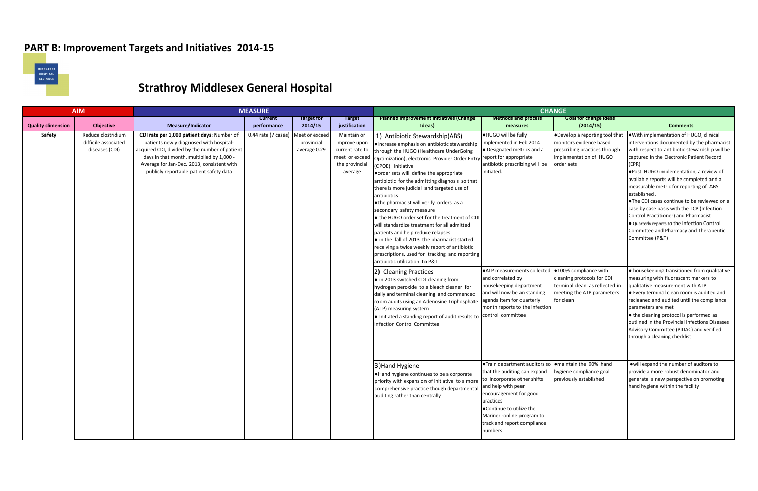## **PART B: Improvement Targets and Initiatives 2014-15**



## **Strathroy Middlesex General Hospital**

|                                    | <b>AIM</b>                                                                       |                                                                                                                                                                                                                                                                                                           | <b>MEASURE</b><br><b>CHANGE</b>    |                                                        |                                                                                                                |                                                                                                                                                                                                                                                                                                                                                                                                                                                                                                                                                                                                                                                                                                                                                                                                                                                                                                                                                                                         |                                                                                                                                                                                                                                                                                                                                              |                                                                                                                                                                                                                                                            |                                                                                                                                                                                                                                                                                                                                                                                                                                                                                                                                                                                                                                                                                                                                                                                                                                                |
|------------------------------------|----------------------------------------------------------------------------------|-----------------------------------------------------------------------------------------------------------------------------------------------------------------------------------------------------------------------------------------------------------------------------------------------------------|------------------------------------|--------------------------------------------------------|----------------------------------------------------------------------------------------------------------------|-----------------------------------------------------------------------------------------------------------------------------------------------------------------------------------------------------------------------------------------------------------------------------------------------------------------------------------------------------------------------------------------------------------------------------------------------------------------------------------------------------------------------------------------------------------------------------------------------------------------------------------------------------------------------------------------------------------------------------------------------------------------------------------------------------------------------------------------------------------------------------------------------------------------------------------------------------------------------------------------|----------------------------------------------------------------------------------------------------------------------------------------------------------------------------------------------------------------------------------------------------------------------------------------------------------------------------------------------|------------------------------------------------------------------------------------------------------------------------------------------------------------------------------------------------------------------------------------------------------------|------------------------------------------------------------------------------------------------------------------------------------------------------------------------------------------------------------------------------------------------------------------------------------------------------------------------------------------------------------------------------------------------------------------------------------------------------------------------------------------------------------------------------------------------------------------------------------------------------------------------------------------------------------------------------------------------------------------------------------------------------------------------------------------------------------------------------------------------|
|                                    |                                                                                  |                                                                                                                                                                                                                                                                                                           | <b>Current</b>                     | <b>Target for</b>                                      | <b>Target</b>                                                                                                  | <b>Planned improvement initiatives (Change</b>                                                                                                                                                                                                                                                                                                                                                                                                                                                                                                                                                                                                                                                                                                                                                                                                                                                                                                                                          | <b>Methods and process</b>                                                                                                                                                                                                                                                                                                                   | <b>Goal for change ideas</b>                                                                                                                                                                                                                               |                                                                                                                                                                                                                                                                                                                                                                                                                                                                                                                                                                                                                                                                                                                                                                                                                                                |
| <b>Quality dimension</b><br>Safety | <b>Objective</b><br>Reduce clostridium<br>difficile associated<br>diseases (CDI) | <b>Measure/Indicator</b><br>CDI rate per 1,000 patient days: Number of<br>patients newly diagnosed with hospital-<br>acquired CDI, divided by the number of patient<br>days in that month, multiplied by 1,000 -<br>Average for Jan-Dec. 2013, consistent with<br>publicly reportable patient safety data | performance<br>0.44 rate (7 cases) | 2014/15<br>Meet or excee<br>provincial<br>average 0.29 | justification<br>Maintain or<br>improve upon<br>current rate to<br>meet or exceed<br>the provincial<br>average | Ideas)<br>1) Antibiotic Stewardship(ABS)<br>●increase emphasis on antibiotic stewardship<br>through the HUGO (Healthcare UnderGoing<br>Optimization), electronic Provider Order Entry<br>(CPOE) initiative<br>order sets will define the appropriate<br>antibiotic for the admitting diagnosis so that<br>there is more judicial and targeted use of<br>antibiotics<br>. othe pharmacist will verify orders as a<br>secondary safety measure<br>● the HUGO order set for the treatment of CDI<br>will standardize treatment for all admitted<br>patients and help reduce relapses<br>$\bullet$ in the fall of 2013 the pharmacist started<br>receiving a twice weekly report of antibiotic<br>prescriptions, used for tracking and reporting<br>antibiotic utilization to P&T<br>2) Cleaning Practices<br>• in 2013 switched CDI cleaning from<br>hydrogen peroxide to a bleach cleaner for<br>daily and terminal cleaning and commenced<br>room audits using an Adenosine Triphosphate | measures<br><b>.</b> HUGO will be fully<br>Implemented in Feb 2014<br>• Designated metrics and a<br>report for appropriate<br>antibiotic prescribing will be<br>initiated.<br>●ATP measurements collected  ●100% compliance with<br>and correlated by<br>housekeeping department<br>and will now be an standing<br>agenda item for quarterly | (2014/15)<br>.Develop a reporting tool that<br>monitors evidence based<br>prescribing practices through<br>implementation of HUGO<br>order sets<br>cleaning protocols for CDI<br>terminal clean as reflected in<br>meeting the ATP parameters<br>for clean | <b>Comments</b><br>. With implementation of HUGO, clinical<br>interventions documented by the pharmacist<br>with respect to antibiotic stewardship will be<br>captured in the Electronic Patient Record<br>(EPR)<br>. Post HUGO implementation, a review of<br>available reports will be completed and a<br>measurable metric for reporting of ABS<br>established.<br>● The CDI cases continue to be reviewed on a<br>case by case basis with the ICP (Infection<br>Control Practitioner) and Pharmacist<br>● Quarterly reports to the Infection Control<br>Committee and Pharmacy and Therapeutic<br>Committee (P&T)<br>. housekeeping transitioned from qualitative<br>measuring with fluorescent markers to<br>qualitative measurement with ATP<br>• Every terminal clean room is audited and<br>recleaned and audited until the compliance |
|                                    |                                                                                  |                                                                                                                                                                                                                                                                                                           |                                    |                                                        |                                                                                                                | (ATP) measuring system<br>. Initiated a standing report of audit results to<br>Infection Control Committee<br>3) Hand Hygiene<br>●Hand hygiene continues to be a corporate<br>priority with expansion of initiative to a more<br>comprehensive practice though departmental<br>auditing rather than centrally                                                                                                                                                                                                                                                                                                                                                                                                                                                                                                                                                                                                                                                                           | month reports to the infection<br>control committee<br><b>.</b> Train department auditors so<br>that the auditing can expand<br>to incorporate other shifts<br>and help with peer<br>encouragement for good<br>practices<br>● Continue to utilize the<br>Mariner -online program to<br>track and report compliance<br>numbers                | omaintain the 90% hand<br>hygiene compliance goal<br>previously established                                                                                                                                                                                | parameters are met<br>• the cleaning protocol is performed as<br>outlined in the Provincial Infections Diseases<br>Advisory Committee (PIDAC) and verified<br>through a cleaning checklist<br>owill expand the number of auditors to<br>provide a more robust denominator and<br>generate a new perspective on promoting<br>hand hygiene within the facility                                                                                                                                                                                                                                                                                                                                                                                                                                                                                   |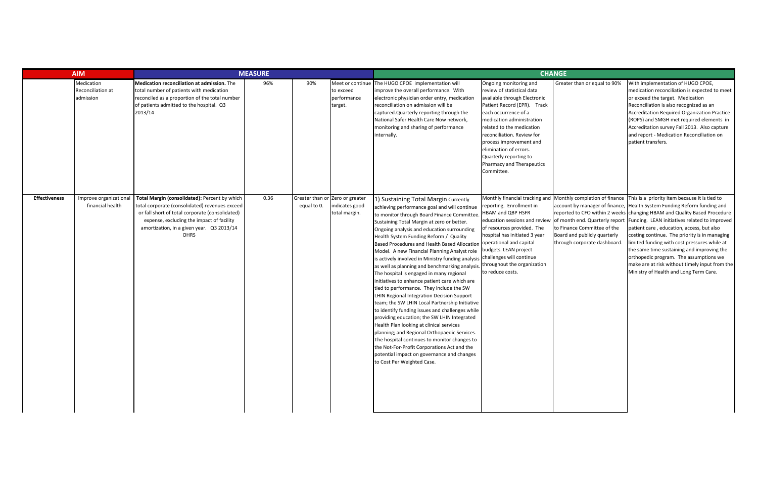|                      | <b>AIM</b><br><b>MEASURE</b>                 |                                                                                                                                                                                                                                                      |      |                                                |                                     | <b>CHANGE</b>                                                                                                                                                                                                                                                                                                                                                                                                                                                                                                                                                                                                                                                                                                                                                                                                                                                                                                                                                                                                                                                                                                                                                                          |                                                                                                                                                                                                                                                                                                                                                               |                                                                                             |                                                                                                                                                                                                                                                                                                                                                                                                                                                                                                                                                                                                                                                                                     |
|----------------------|----------------------------------------------|------------------------------------------------------------------------------------------------------------------------------------------------------------------------------------------------------------------------------------------------------|------|------------------------------------------------|-------------------------------------|----------------------------------------------------------------------------------------------------------------------------------------------------------------------------------------------------------------------------------------------------------------------------------------------------------------------------------------------------------------------------------------------------------------------------------------------------------------------------------------------------------------------------------------------------------------------------------------------------------------------------------------------------------------------------------------------------------------------------------------------------------------------------------------------------------------------------------------------------------------------------------------------------------------------------------------------------------------------------------------------------------------------------------------------------------------------------------------------------------------------------------------------------------------------------------------|---------------------------------------------------------------------------------------------------------------------------------------------------------------------------------------------------------------------------------------------------------------------------------------------------------------------------------------------------------------|---------------------------------------------------------------------------------------------|-------------------------------------------------------------------------------------------------------------------------------------------------------------------------------------------------------------------------------------------------------------------------------------------------------------------------------------------------------------------------------------------------------------------------------------------------------------------------------------------------------------------------------------------------------------------------------------------------------------------------------------------------------------------------------------|
|                      | Medication<br>Reconciliation at<br>admission | Medication reconciliation at admission. The<br>total number of patients with medication<br>reconciled as a proportion of the total number<br>of patients admitted to the hospital. Q3<br>2013/14                                                     | 96%  | 90%                                            | to exceed<br>performance<br>target. | Meet or continue The HUGO CPOE implementation will<br>improve the overall performance. With<br>electronic physician order entry, medication<br>reconciliation on admission will be<br>captured. Quarterly reporting through the<br>National Safer Health Care Now network,<br>monitoring and sharing of performance<br>internally.                                                                                                                                                                                                                                                                                                                                                                                                                                                                                                                                                                                                                                                                                                                                                                                                                                                     | Ongoing monitoring and<br>review of statistical data<br>available through Electronic<br>Patient Record (EPR). Track<br>each occurrence of a<br>medication administration<br>related to the medication<br>reconciliation. Review for<br>process improvement and<br>elimination of errors.<br>Quarterly reporting to<br>Pharmacy and Therapeutics<br>Committee. | Greater than or equal to 90%                                                                | With implementation of HUGO CPOE,<br>medication reconciliation is expected to meet<br>or exceed the target. Medication<br>Reconciliation is also recognized as an<br>Accreditation Required Organization Practice<br>(ROPS) and SMGH met required elements in<br>Accreditation survey Fall 2013. Also capture<br>and report - Medication Reconciliation on<br>patient transfers.                                                                                                                                                                                                                                                                                                    |
| <b>Effectiveness</b> | Improve organizationa<br>financial health    | Total Margin (consolidated): Percent by which<br>total corporate (consolidated) revenues exceed<br>or fall short of total corporate (consolidated)<br>expense, excluding the impact of facility<br>amortization, in a given year. Q3 2013/14<br>OHRS | 0.36 | Greater than or Zero or greater<br>equal to 0. | indicates good<br>total margin.     | 1) Sustaining Total Margin Currently<br>achieving performance goal and will continue<br>to monitor through Board Finance Committee.<br>Sustaining Total Margin at zero or better.<br>Ongoing analysis and education surrounding<br>Health System Funding Reform / Quality<br>Based Procedures and Health Based Allocation operational and capital<br>Model. A new Financial Planning Analyst role<br>is actively involved in Ministry funding analysis challenges will continue<br>as well as planning and benchmarking analysis. throughout the organization<br>The hospital is engaged in many regional<br>initiatives to enhance patient care which are<br>tied to performance. They include the SW<br><b>LHIN Regional Integration Decision Support</b><br>team; the SW LHIN Local Partnership Initiative<br>to identify funding issues and challenges while<br>providing education; the SW LHIN Integrated<br>Health Plan looking at clinical services<br>planning; and Regional Orthopaedic Services.<br>The hospital continues to monitor changes to<br>the Not-For-Profit Corporations Act and the<br>potential impact on governance and changes<br>to Cost Per Weighted Case. | reporting. Enrollment in<br>HBAM and QBP HSFR<br>education sessions and review<br>of resources provided. The<br>hospital has initiated 3 year<br>budgets. LEAN project<br>to reduce costs.                                                                                                                                                                    | to Finance Committee of the<br>Board and publicly quarterly<br>through corporate dashboard. | Monthly financial tracking and Monthly completion of finance This is a priority item because it is tied to<br>account by manager of finance, Health System Funding Reform funding and<br>reported to CFO within 2 weeks changing HBAM and Quality Based Procedure<br>of month end. Quarterly report Funding. LEAN initiatives related to improved<br>patient care, education, access, but also<br>costing continue. The priority is in managing<br>limited funding with cost pressures while at<br>the same time sustaining and improving the<br>orthopedic program. The assumptions we<br>make are at risk without timely input from the<br>Ministry of Health and Long Term Care. |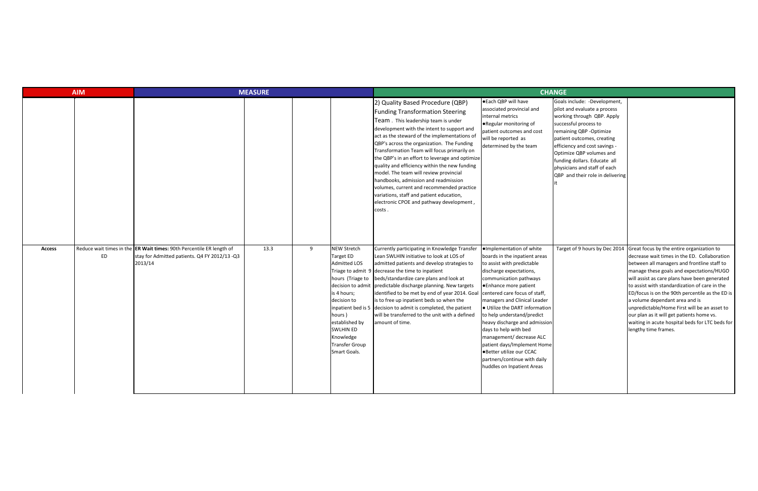| <b>MEASURE</b><br><b>AIM</b> |                                |                                                                                                                |      | <b>CHANGE</b> |                                                                                                                                                                                                                |                                                                                                                                                                                                                                                                                                                                                                                                                                                                                                                                                                                                                                                   |                                                                                                                                                                                                                                                                                                                                                                                                                                                                                                                       |                                                                                                                                                                                                                                                                                                                                                |                                                                                                                                                                                                                                                                                                                                                                                                                                                                                                                                                     |
|------------------------------|--------------------------------|----------------------------------------------------------------------------------------------------------------|------|---------------|----------------------------------------------------------------------------------------------------------------------------------------------------------------------------------------------------------------|---------------------------------------------------------------------------------------------------------------------------------------------------------------------------------------------------------------------------------------------------------------------------------------------------------------------------------------------------------------------------------------------------------------------------------------------------------------------------------------------------------------------------------------------------------------------------------------------------------------------------------------------------|-----------------------------------------------------------------------------------------------------------------------------------------------------------------------------------------------------------------------------------------------------------------------------------------------------------------------------------------------------------------------------------------------------------------------------------------------------------------------------------------------------------------------|------------------------------------------------------------------------------------------------------------------------------------------------------------------------------------------------------------------------------------------------------------------------------------------------------------------------------------------------|-----------------------------------------------------------------------------------------------------------------------------------------------------------------------------------------------------------------------------------------------------------------------------------------------------------------------------------------------------------------------------------------------------------------------------------------------------------------------------------------------------------------------------------------------------|
|                              |                                |                                                                                                                |      |               |                                                                                                                                                                                                                | 2) Quality Based Procedure (QBP)<br><b>Funding Transformation Steering</b><br>Team. This leadership team is under<br>development with the intent to support and<br>act as the steward of the implementations of<br>QBP's across the organization. The Funding<br>Transformation Team will focus primarily on<br>the QBP's in an effort to leverage and optimize<br>quality and efficiency within the new funding<br>model. The team will review provincial<br>handbooks, admission and readmission<br>volumes, current and recommended practice<br>variations, staff and patient education,<br>electronic CPOE and pathway development,<br>costs. | ● Each QBP will have<br>associated provincial and<br>internal metrics<br>.Regular monitoring of<br>patient outcomes and cost<br>will be reported as<br>determined by the team                                                                                                                                                                                                                                                                                                                                         | Goals include: -Development,<br>pilot and evaluate a process<br>working through QBP. Apply<br>successful process to<br>remaining QBP - Optimize<br>patient outcomes, creating<br>efficiency and cost savings -<br>Optimize QBP volumes and<br>funding dollars. Educate all<br>physicians and staff of each<br>QBP and their role in delivering |                                                                                                                                                                                                                                                                                                                                                                                                                                                                                                                                                     |
| <b>Access</b>                | Reduce wait times in the<br>ED | <b>ER Wait times:</b> 90th Percentile ER length of<br>stay for Admitted patients. Q4 FY 2012/13 -Q3<br>2013/14 | 13.3 | 9             | <b>NEW Stretch</b><br><b>Target ED</b><br><b>Admitted LOS</b><br>hours (Triage to<br>is 4 hours;<br>decision to<br>hours)<br>established by<br><b>SWLHIN ED</b><br>Knowledge<br>Transfer Group<br>Smart Goals. | Currently participating in Knowledge Transfer<br>Lean SWLHIN initiative to look at LOS of<br>admitted patients and develop strategies to<br>Triage to admit 9 decrease the time to inpatient<br>beds/standardize care plans and look at<br>decision to admit predictable discharge planning. New targets<br>identified to be met by end of year 2014. Goal<br>is to free up inpatient beds so when the<br>inpatient bed is $5$ decision to admit is completed, the patient<br>will be transferred to the unit with a defined<br>amount of time.                                                                                                   | ·Implementation of white<br>boards in the inpatient areas<br>to assist with predictable<br>discharge expectations,<br>communication pathways<br>●Enhance more patient<br>centered care focus of staff,<br>managers and Clinical Leader<br>· Utilize the DART information<br>to help understand/predict<br>heavy discharge and admission<br>days to help with bed<br>management/ decrease ALC<br>patient days/Implement Home<br>·Better utilize our CCAC<br>partners/continue with daily<br>huddles on Inpatient Areas | Target of 9 hours by Dec 2014                                                                                                                                                                                                                                                                                                                  | Great focus by the entire organization to<br>decrease wait times in the ED. Collaboration<br>between all managers and frontline staff to<br>manage these goals and expectations/HUGO<br>will assist as care plans have been generated<br>to assist with standardization of care in the<br>ED/focus is on the 90th percentile as the ED is<br>a volume dependant area and is<br>unpredictable/Home First will be an asset to<br>our plan as it will get patients home vs.<br>waiting in acute hospital beds for LTC beds for<br>lengthy time frames. |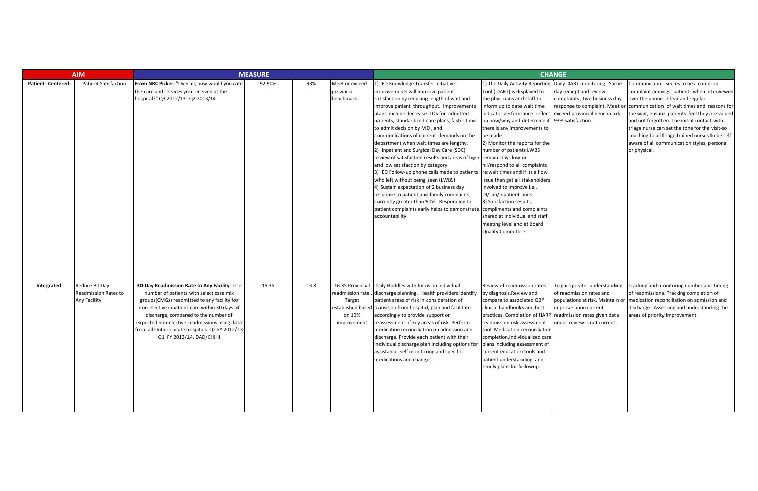| <b>AIM</b>               |                                                              | <b>MEASURE</b>                                                                                                                                                                                                                                                                                                                                                   |        |      |                                                                         |                                                                                                                                                                                                                                                                                                                                                                                                                                                                                                                                                                                                                                                                                                                                                                                                                                                                                                              |                                                                                                                                                                                                                                                                                                                                                                                                                                                                                                                                                                    | <b>CHANGE</b>                                                                                                                                                                         |                                                                                                                                                                                                                                                                                                                                                                                                                                             |
|--------------------------|--------------------------------------------------------------|------------------------------------------------------------------------------------------------------------------------------------------------------------------------------------------------------------------------------------------------------------------------------------------------------------------------------------------------------------------|--------|------|-------------------------------------------------------------------------|--------------------------------------------------------------------------------------------------------------------------------------------------------------------------------------------------------------------------------------------------------------------------------------------------------------------------------------------------------------------------------------------------------------------------------------------------------------------------------------------------------------------------------------------------------------------------------------------------------------------------------------------------------------------------------------------------------------------------------------------------------------------------------------------------------------------------------------------------------------------------------------------------------------|--------------------------------------------------------------------------------------------------------------------------------------------------------------------------------------------------------------------------------------------------------------------------------------------------------------------------------------------------------------------------------------------------------------------------------------------------------------------------------------------------------------------------------------------------------------------|---------------------------------------------------------------------------------------------------------------------------------------------------------------------------------------|---------------------------------------------------------------------------------------------------------------------------------------------------------------------------------------------------------------------------------------------------------------------------------------------------------------------------------------------------------------------------------------------------------------------------------------------|
| <b>Patient- Centered</b> | <b>Patient Satisfaction</b>                                  | From NRC Picker: "Overall, how would you rate<br>the care and services you received at the<br>hospital?" Q3 2012/13- Q2 2013/14                                                                                                                                                                                                                                  | 92.90% | 93%  | Meet or exceed<br>provincial<br>benchmark.                              | 1) ED Knowledge Transfer initiative<br>improvements will improve patient<br>satisfaction by reducing length of wait and<br>improve patient throughput. Improvements<br>plans include decrease LOS for admitted<br>patients, standardized care plans, faster time<br>to admit decision by MD, and<br>communications of current demands on the<br>department when wait times are lengthy.<br>2) Inpatient and Surgical Day Care (SDC)<br>review of satisfaction results and areas of high remain stays low or<br>and low satisfaction by category.<br>3) ED Follow-up phone calls made to patients re: wait times and if its a flow<br>who left without being seen (LWBS)<br>4) Sustain expectation of 2 business day<br>response to patient and family complaints,<br>currently greater than 90%. Responding to<br>patient complaints early helps to demonstrate compliments and complaints<br>accountability | 1) The Daily Activity Reporting<br>Tool (DART) is displayed to<br>the physicians and staff to<br>inform up to date wait time<br>indicator performance reflect<br>on how/why and determine if 93% satisfaction.<br>there is any improvements to<br>be made<br>2) Monitor the reports for the<br>number of patients LWBS<br>nil/respond to all complaints<br>issue then get all stakeholders<br>involved to improve i.e<br>DI/Lab/Inpatient units.<br>3) Satisfaction results,<br>shared at individual and staff<br>meeting level and at Board<br>Quality Committee. | Daily DART monitoring. Same<br>day reciept and review<br>complaints, two business day<br>response to complaint. Meet or<br>exceed provincial benchmark                                | Communication seems to be a common<br>complaint amongst patients when interviewed<br>over the phone. Clear and regular<br>communication of wait times and reasons for<br>the wait, ensure patients feel they are valued<br>and not forgotten. The initial contact with<br>triage nurse can set the tone for the visit-so<br>coaching to all triage trained nurses to be self<br>aware of all communication styles, personal<br>or physical. |
| Integrated               | Reduce 30 Day<br><b>Readmission Rates to</b><br>Any Facility | 30-Day Readmission Rate to Any Facility- The<br>number of patients with select case mix<br>groups(CMGs) readmitted to any facility for<br>non-elective inpatient care within 30 days of<br>discharge, compared to the number of<br>expected non-elective readmissions using data<br>from all Ontario acute hospitals. Q2 FY 2012/13-<br>Q1 FY 2013/14. DAD/CHIHI | 15.35  | 13.8 | 16.35 Provincial<br>readmission rate<br>Target<br>on 10%<br>improvement | Daily Huddles with focus on individual<br>discharge planning. Health providers identify<br>patient areas of risk in consideration of<br>established based transition from hospital, plan and facilitate<br>accordingly to provide support or<br>reassessment of key areas of risk. Perform<br>medication reconciliation on admission and<br>discharge. Provide each patient with their<br>individual discharge plan including options for $\vert$ plans including assessment of<br>assistance, self monitoring and specific<br>medications and changes.                                                                                                                                                                                                                                                                                                                                                      | Review of readmission rates<br>by diagnosis.Review and<br>compare to associated QBP<br>clinical handbooks and best<br>practices. Completion of HARP<br>readmission risk assessment<br>tool. Medication reconciliation<br>completion.Individualized care<br>current education tools and<br>patient understanding, and<br>timely plans for followup.                                                                                                                                                                                                                 | To gain greater understanding<br>of readmission rates and<br>populations at risk. Maintain or<br>improve upon current<br>readmission rates given data<br>under review is not current. | Tracking and monitoring number and timing<br>of readmissions. Tracking completion of<br>medication reconciliation on admission and<br>discharge. Assessing and understanding the<br>areas of priority improvement.                                                                                                                                                                                                                          |